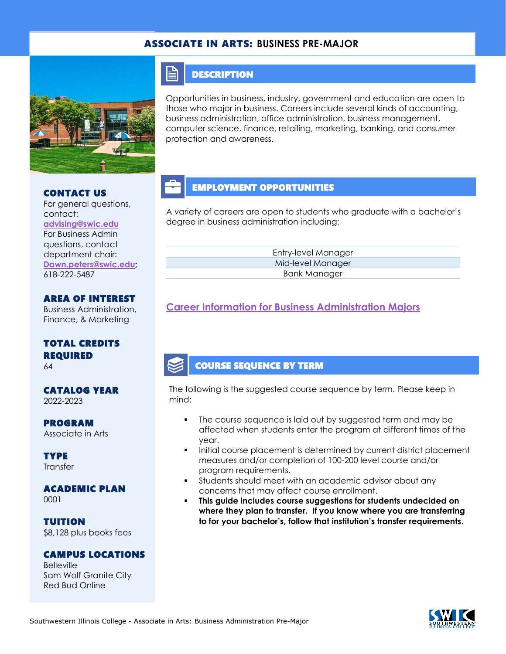#### ASSOCIATE IN ARTS: **BUSINESS PRE-MAJOR**



#### CONTACT US

618-222-5487

For general questions, contact: **[advising@swic.edu](mailto:advising@swic.edu)** For Business Admin questions, contact department chair: **[Dawn.peters@swic.edu;](mailto:Dawn.peters@swic.edu)**

# AREA OF INTEREST

Business Administration, Finance, & Marketing

### TOTAL CREDITS REQUIRED

64

#### CATALOG YEAR 2022-2023

PROGRAM Associate in Arts

**TYPE Transfer** 

#### ACADEMIC PLAN 0001

TUITION \$8,128 plus books fees

#### CAMPUS LOCATIONS

**Belleville** Sam Wolf Granite City Red Bud Online

### **DESCRIPTION**

 $\mathop{=}$ 

Opportunities in business, industry, government and education are open to those who major in business. Careers include several kinds of accounting, business administration, office administration, business management, computer science, finance, retailing, marketing, banking, and consumer protection and awareness.

# EMPLOYMENT OPPORTUNITIES

A variety of careers are open to students who graduate with a bachelor's degree in business administration including:

> Entry-level Manager Mid-level Manager Bank Manager

### **[Career Information for Business Administration Majors](https://www.onetonline.org/find/quick?s=business+administration)**

### COURSE SEQUENCE BY TERM

The following is the suggested course sequence by term. Please keep in mind:

- The course sequence is laid out by suggested term and may be affected when students enter the program at different times of the year.
- Initial course placement is determined by current district placement measures and/or completion of 100-200 level course and/or program requirements.
- Students should meet with an academic advisor about any concerns that may affect course enrollment.
- This guide includes course suggestions for students undecided on **where they plan to transfer. If you know where you are transferring to for your bachelor's, follow that institution's transfer requirements.**